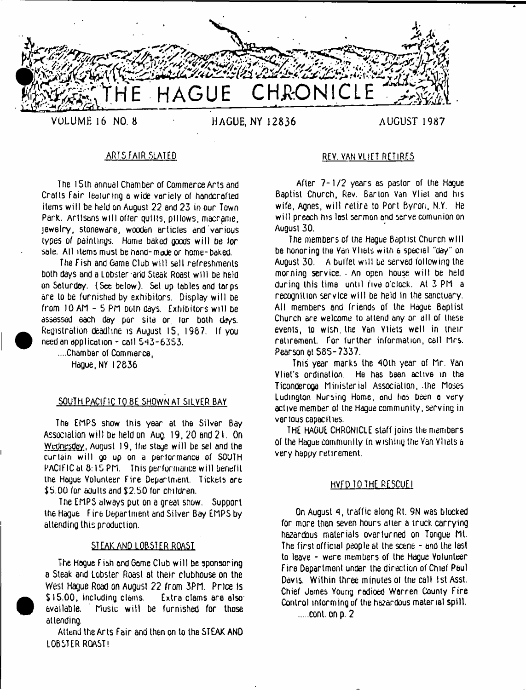

**VOLUME 16 NO. 8 HAGUE, NY 12836 AUGUST 1987**

The 15th annual Chamber of Commerce Arts and Crafts Fair featuring a wide variety of handcrafted items will be held on August 22 and 23 in our Town Park. Artisans w ill offer quills, pillows, macrame, jewelry, stoneware, wooden articles and various types of paintings. Home baked goods w ill be /or sale. All items must be hand-made or home-baked.

The Fish and Game Club will sell refreshments. both days and a Lobster and Steak Roast will be held on Saturday. (See below). Set up tobies and torps are to be furnished by exhibitors. Display will be from 10 AM - 5 PM Doth days. Exhibitors w ill be assessed each day per site or lor both days. Registration deadline is August 15, 1987. If you need an application - call 5^3-6353.

....Chamber of Commerce, Hague, NY 12836

# SOUTH PACIFIC TO BE SHOWN AT SILVER BAY

The EMPS show this year at the Silver Bay Association w ill be held on Auq. 19, 20 and 21. On Wednesday. August 19, the stage will be set and the curtain w ill go up on a performance of SOUTH PACIFIC at 8:15 PM. This performance will benefit the Hague Volunteer Eire Department. Tickets are \$5.00 for adults and \$2.50 for children.

The EMPS always pul on a great snow. Support the Hague Fire Department and Silver Bay EMPS by attending this production.

## STEAKAND LOBSTER ROAST

The Hogue Fish and Gome Club w ill be sponsoring a Steak and Lobster Roast at their clubhouse on the West Hague Road on August 22 from 3PM. Price fs \$15.00, including clams. Extra clams are also: available. Music w ill be furnished for those attending.

Attend the Arts Fair and then on to the STEAK AND LOBSTER ROAST!

# ARTS FAIR SLATED REV. VAN VLtET RETIRES

After 7-1/2 years as pastor of the Haque Baptist Church, Rev. Barton Van Vliel and his wife, Agnes, will retire to Port Byron, N.Y. He w ill preach his last sermon and serve comunion on August 30.

The members of the Haque Baptist Church will be honoring the Van Vliets with a special "day" on August 30. A buffet will be served following the morning service. - An open house w ill be held during this time until five o'clock. At 3 PM a recognition service will be held in the sanctuary. All members and friends of the Hague Baptist Church are welcome to attend any or all of these events, to wish, the Van Vliets well in their retirement. For further information, call Mrs. Pearson at 585-7337.

This year marks the 40lh year of Mr. Van Vliel's ordination. He has been active in the Ticonderoga Ministerial Association, .the Moses Ludington Nursing Home, and tios been o very active member of tne Hague community, serving in various capacities.

THE HAGUE CHRONICLE staff joins the members of the Hague community in wishing the Van Vliets a very happy retirement,

## HVFD TO THE RESCUEI

On August 4, traffic along Rt. 9N was blocked for more than seven hours after a truck carrying hazardous materials overturned on Tongue Mt. The first official people at the scene - and the last to leave - were members of the Hague Volunteer Fire Department under the direction of Chief Paul Davis. Within three minutes ol the call 1st Asst. Chief James Young radioed Warren County Fire Control informing of the hazardous material spill.

......cont. on p. 2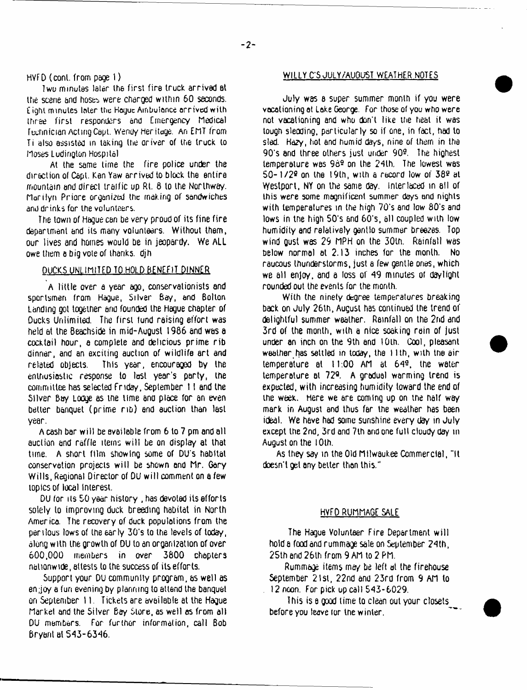HVFD (conl. from page 1)

Twu minutes later the first fire truck arrived Bt the scene and hoses were charged within 60 seconds. *i* ighl minutes Inter the Hague Ambulance arrived with three first responders and emergency Medical Technician Acting Cepl. Wendy Heritoge. An EMT from Ti also assisted in taking the driver of the truck to Moses Ludington Hospital

At the same time the fire police under the direction of Capt. Ken Yaw arrived to block the entire mountain and direct traffic up Rt. 8 to the Norlhway. Marilyn Priore organised the making of sandwiches and drinks for the volunteers.

The town *of* Hague can be very proud of its fine fire department and its many volunteers. Without them, our lives and homes would be in jeopardy. We ALL owe them a big vote of thanks, djh

# DUCKS UNLIMITED TO HOLD BENEFIT DINNER

A little over a year ago, conservationists and sportsmen from Hague, Silver Bay, and Bolton Landing got together and founded the Hague chapter of Ducks Unlimited. The first fund raising effort was held at the Beachside in mid-August 1986 and was a cocktail hour, a complete and delicious prime rib dinner, and an exciting auction of wildlife art and related objects. This year, encouraged by the enthusiastic response to lost year's party, the committee has selected Friday, September 11 and the Silver Bay Lodge as the time and place for an even better banquet (prime rib) and auction than last year.

A cash bar will be available from 6 to 7 pm and all auction and raffle items w ill be on display at that tune. A short film showing some of DU's habitat conservation projects will be shown end Mr. Gary Wills, Regional Director of DU w ill comment on a few topics of local interest.

DU for its SO year history , has devoted its efforts solely to improving duck breeding habitat in North America. The recovery of duck populations from the perilous lows of the early 3G's to the levels of today, along with the growth of DU to an organization of over 600,000 members in over 3600 chapters nationwide, attests to the success of its efforts.

Support your DU community program, as well as en;joy a fun evening by planning to attend the banquet on September 11. Tickets are available at the Hague Market and the Silver Bay Store, as well as from all DU members. For further information, call Bob Bryanl al 543-6346,

## WILLY C'5 JULY/AUOUST WEATHER NOTES

July was a super summer month if you were vacationing at Lake George. For those of you who were not vacationing and who don't like the heat it was tough sleoding, particularly so if one, in fact, had to sled. Hazy, hot and humid days, nine of them in the 90's and three others just under 909. The highest temperature was  $96<sup>9</sup>$  on the  $24th$ . The lowest was  $50-1/29$  on the 19th, with a record low of  $389$  at Westport, NY on the same day. interlaced in ell of this were some magnificent summer days and nights with temperatures m (he high 70's and low 80's and lows in the high 50's and 60's, all coupled with low humidity and relatively gentlo summer breezes. Top wind Qust was 29 MPH on the 30th. Rainfall was below normal at 2.13 inches for the month. No raucous thunderstorms, just a few gentle ones, which we all enjoy, and a loss of 49 minutes of daylight rounded out the events for the month.

With the ninety degree temperatures breaking back on July 26th, August has continued the trend of delightful summer weather. Rainfall on the 2nd and 3rd of the month, with a nice soaking rain of just under an inch on the 9th end 10th. Cool, pleasant weather has settled in today, the 11th, with the air temperature at 11:00 AM at 649, the water temperature at 72°. A gradual warming trend is expected, with increasing humidity toward the end of the week. Here we are coming up on the half way mark in August and thus far the weather has been ideal. We have had some sunshine every day in July except the 2nd, 3rd and 7lh and one full cloudy day in August on the 1 Oth.

As they say in the Old Milwaukee Commercial, "It doesn't gel any belter than this."

# HVFD RUMMAGE SALE

The Hague Volunteer Fire Department will hold a food and rummage sale on September 24th, 25th and 26th from 9 AM to 2 PM.

Rummage items may be left at the firehouse September 21st, 22nd and 23rd from 9 AM to 12 noon. For pick up call 543-6029.

This is a Qood lime to clean out your closets before you leave lor the winter.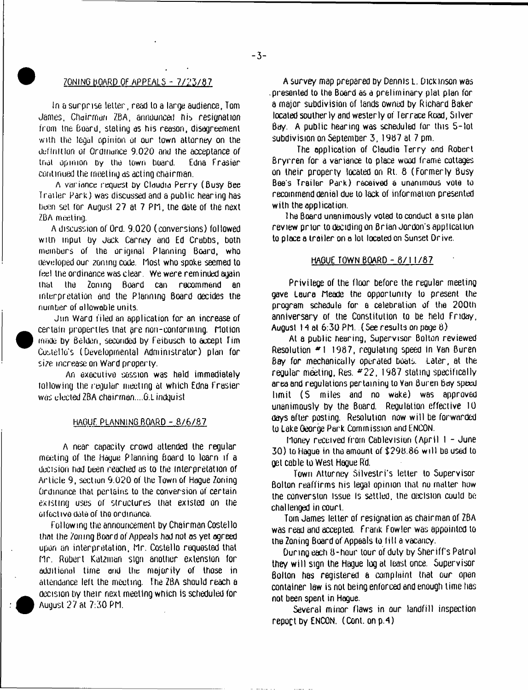# $ZONING BORD OF APPEALS -  $7/23/87$$

tn a surprise letter, read to a large audience, Tom James. Chairman ZBA, announced His resignation irom tne board, stating as his reason, disagreement with the legal opinion of our town attorney on the definition of Ordinance 9.020 and the acceptance *of* that opinion by the town board. Edna Frasier continued the meeting as acting chairman.

A variance request hy Claudia Perry (Busy Bee Trailer Park) was discussed and a public hearing has been set for August 27 at 7 Pn, the date of the next ZBA meeting.

A discussion of Ord. 9.020 (conversions) followed with input by Jack Carney and Ed Crabbs, both members of the original Planning Board, who developed our zoning code. Most who spoke seemed to feel the ordinance was clear. We were reminded again that the Zoning Board can recommend an interpretation and the Planning Board decides the number of allowable units.

Jun Ward filed an application for an increase of certain properties that are non-conforming. Motion made by Belden, seconded by Feibusch to accept Tim Costello's (Developmental Administrator) plan for size increase on Ward property.

An executive session was held immediately tollowing the regular meeting at which Edna Frasier was elected ZBA chairrnan....G.Lindguist

## HAGUE PLANNING BOARD - 8/6/67

A near capacity crowd attended the regular meeting of the Hague Planning Board to learn if a decision had been reached as to the interpretation of Article 9, section 9.020 of the Town of Hague Zoning Ordinance that pertains to the conversion uf certain existing uses of structures that existed on the ui foctivo dole of the ordinance.

Following the announcement by Chairman Costello that the Zoning Board of Appeals had not as yet agreed upon an interpretation, Mr. Costello requested that n r. Robert Katzman sign another extension for additional time and the majority of those in attendance left the meeting. The ZBA should reach a decision by their next meeting whicn is scheduled for August 27 at 7:30 PM.

A survey map prepared by Dennis L. Dickinson was .presented to the Board as a preliminary plat plan for a major subdivision of lands owned by Richard Baker located southerly and westerly of lerrace Road, Silver Bay. A public hearing was scheduled for this 5 - lot subdivision on September 3, 1987 at 7 pm.

The application of Claudia Terry and Robert Bryrren for a variance to place wood frame cottages on their property located on Rt. 8 (Formerly Busy Bee's Trailer Perk) received a unanimous vote to recommend denial due to lack of information presented with the application.

The Board unanimously voted to conduct a site plan. review prior to deciding on Brian Jordon's appltcal Ion to place a trailer on a lot located on Sunset Drive.

### <u>HAGUE TOWN BOARD - 8/11/87</u>

Privilege of the floor before the regular meeting gave Laura Meade the opportunity to present the program schedule for a celebration of the 200th anniversary of the Constitution to be held Friday, August 14 at  $6:30$  PM. (See results on page  $8$ )

At a public hearing, Supervisor Bolton reviewed Resolution \*1 1987, regulating speed In Van Buren Bay for mechanically operated boats. Later, at the regular meeting, Res. #22, 1987 stating specifically area and regulations pertaining to Van Buren boy speed limit (S miles and no wake) was approved unanimously Dy the Board. Regulation effective 10 days after posting. Resolution now w ill be forwarded to Lake George Park Commission and ENCON.

Money received from Cablevisiori (April I - June 30) to Hague in the amount of \$298.86 will be used to get cable to West Hague Rd.

Town Attorney Silvestri's letter to Supervisor Bolton reaffirms his legal opinion that no matter how the conversion issue Is settled, the decision could be challenged in court.

Tom James letter of resignation as chairman of ZBA was read and accepted, frank Fowler was appointed to the Zoning Board of Appeals to fill a vacancy.

During each 8-hour lour of duty by Sheriffs Patrol they will sign the Hague log at least once. Supervisor Bolton has registered a complaint that our open container law is not being enforced and enough lime has not been spent in Hague.

Several minor flaws in *our* landfill inspection repoct by ENCON. (Cont. onp.4)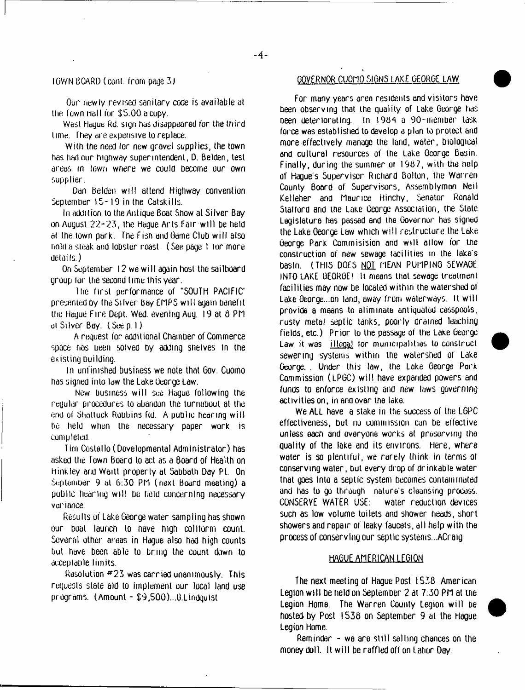# $-4-$

Our newly revised sanitary code is available at the Town Hail for \$5.00 a cupy.

West Hauge Rd. sign has disappeared for the third lime. They are expensive to replace.

With the need for new gravel supplies, the town has had our highway superintendent, D. Belden, test areas in town where we could become our own supplier.

Dan Belden will attend Highway convention September 15-19 in the Catskills.

In addition to the Antique Boat Show at Silver Bay on August 22-23, the Haque Arts Fair will be held at the town park. The fish and Game Club w ill also hold a steak and lobster roast (See page I lor more details.)

On September 12 we w ill again host the sailboard group lor the second time this year.

1 he first performance of "SOUTH PACIFIC\* presented by the Silver Bay EMPS w ill again benefit the Hague Fire Dept. Wed. evening Aug. 19 at 6 Pfl ul Silver Bay. (Sue p. I )

A request for additional Chamber of Commerce space has been solved by adding shelves in the existing building.

In unfinished business we note that Gov. Cuomo has signed into law the Lake George Law.

New business will see Haque following the regular procedures to abandon the turnabout at the end of Shattuck Robbins Rd. A public hearing will he held when the necessary paper work is completed.

Tim Costello (Developmental Administrator) has asked the Town Board to act as a Board of Health on h ink ley and Waitl property at Sabbath Day Pt. On September 9 at 6:30 PM (next Board meeting) a public hearing w ill be held concerning necessary variance.

Results of Lake George water sampling has shown our boat launch to nave nigh coliiorm count. Several other areas in Hague also had high counts but have been able to bring the count down to acceptable limits.

Resolution  $#23$  was carried unanimously. This requests slate aid to implement our local land use programs. (Amount - \$9,500)...G.Lindquist

# FOWN BOARD (cont, from page 3) GOVERNOR CUOMO SIGNS LAKE GEORGE LAW

For many years area residents and visitors hove been observing that the quality of Lake George has Deen deteriorating, in a 90-member task force was established to develop a plan to protect and more effectively manage the land, water, biological and cultural resources of the Lake George Basin. Finally, during the summer oi 1987, with the help of Hague's Supervisor Richard Bolton, the Warren County Board of Supervisors, Assemblyman Neil Kel leher and Maur ice Hinchy, Senator Ronald Statlord and tne Lake George Association, the State Legislature has passed and the Governor has signed the Lake George Law which will restructure the Lake George Park Commisision and will allow for the construction of new sewage lacililies in the lake's basin. (THIS DOES NOT MEAN PUMPING SEWAGE INTO LAKE GEORGE! It means that sewage treatment facilities may now be located within the watershed of Lake George...on land, away from waterways. It will provide a means to eliminate antiquated cesspools, rusty metal septic tanks, poorly drained leaching fields, etc.) Prior to the passage of the Lake George Law it was illegal lor municipalities to construct sewering systems within the watershed of Lake George. . Under this law, the Lake George Park Commission (LPGC) w ill have expanded powers and funds to enforce existing and new laws governing activities on, in and over the lake.

We ALL have a stake in the success of the LGPC effectiveness, but no commission can be effective unless each and everyone works at preserving the quality of the lake and its environs. Here, where water is so plentiful, we rarely think in terms of conserving water, but every drop of dr inkab le water that goes into a septic system becomes contaminated and has to go through nature's cleansing process. CONSERVE WATER USE: water reduction devices such as low volume toilets and shower heads, short showers and repair of leaky faucets, all help with the process of conserving our septic systems...ACraig

# HAGUE AMERICAN LEGION

The next meeting of Hague Post 1538 American Legion w ill be held on September 2 at 7:30 PM at tne Legion Home. The Warren County Legion will be hosted-by Post 1536 on September 9 at the Hague Legion Home.



Reminder - we are still selling chances on the money doll. It w ill be raffled off on labor Day.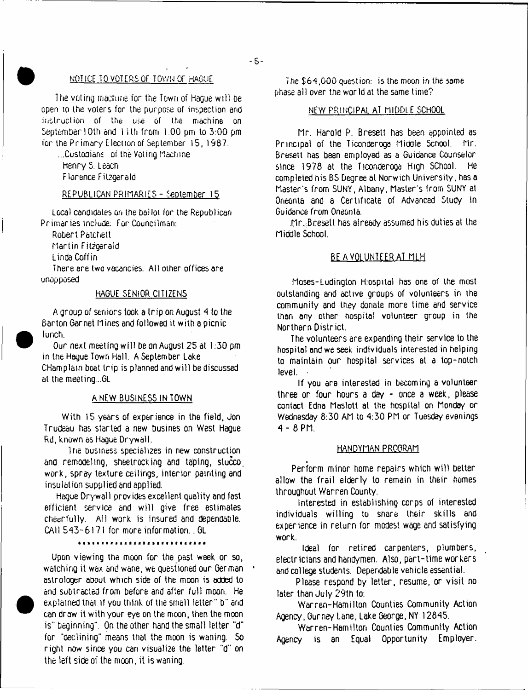# NOTICE TO VOTERS OF TOWN OF HAGUE

The voting machine for the Town of Hague will be open to the voters for the purpose of inspection and instruction of the use of the machine on September 10th and 1 i th from 1.00 pm to 3:00 pm for the Primary [lection of September 15, 1987.

...Custodians of the Voting machine Henry S. Leach Florence Fitzgeraid

# REPUBLICAN PRIMARIES - September 15

Local candidates on the ballot for the Republican Primaries include; For Councilman:

Robert Patchett

Martin Fitzgerald

Linda Coffin

There are two vacancies. All other offices are unopposed

## HAGUE SENIOR CITIZENS

A group of seniors took a trip on August 4 to the Barton Garnet Hines and followed it with a picnic lunch.

Our next meeting w ill be on August 25 at 1;30 pm in the Hague Town Hall. A September Lake CHamplain boat trip is planned and w ill be discussed at the meeting...GL

### A NEW BUSINESS IN TOWN

With 15 years of experience in the field, Jon Trudeau has started a new busines on West Hague Rd, known as Hague Drywall.

The business specializes in new construction ana remooeltng, sheetrocking and taping, stucco, work, spray texture ceilings, interior painting and insulation supplied and applied.

Hague Drywall provides excellent quality and fast efficient service and will give free estimates cheerfully. All work is insured and dependable. CA11 543-6171 for more information.. GL

### \*\*\*\*\*\*\*\*\*\*\*\*\*\*\*\*\*\*\*\*\*\*\*\*\*\*\*\*\*

Upon viewing the moon for the past week or so, watching it wax and wane, we questioned our German \* astrologer about which side of the moon is added to and subtracted from before and after full moon. He explained that if you think of the small letter" b" and can draw it with your eye on the moon, then the moon is" beginning". On the other hand the small letter "d" for "declining" means that the moon is waning. So right now since you can visualize the letter "d" on the left side of the moon, it is waning.

The \$64,000 question: is the moon in the some phase all over the world at the same time?

# NEW PRINCIPAL AT MIDDLE SCHOOL

hr. Harold P. Bresett has been appointed as Principal of the Ticonderoga Middle Scnool. Mr. Bresett has been employed as a Guidance Counselor since 1978 at the Ticonderoga High SChool. He completed his BS Degree at Norwich University, has a Master's from SUNY, Albany, Master's from SUNY at Oneonta and a Certificate of Advanced Study in Guidance from Oneonta.

.fir Jiresett has already assumed his duties at the Middle School.

# BE A VOLUNTEER AT MLH

Moses-Ludington H:ospital has one of the most outstanding and active groups of volunteers in the community and they donate more time and service than any other hospital volunteer group in the Northern District.

The volunteers are expanding their service to the hospital and we seek individuals interested in helping to maintain our hospital services at a top-notch level.

If you are interested in becoming a volunteer three or four hours a day - once a week, please contact Edna Maslott at the hospital on Monday or Wednesday 8:30 AM to 4:30 PM or Tuesday evenings 4 - 8PM.

### HANDYMAN PROGRAM

Perform minor home repairs which w ill better allow the frail elderly to remain in their homes throughout Warren County.

Interested in establishing corps of interested individuals willing to share their skills and experience in return for modest wage and satisfying work.

Ideal for retired carpenters, plumbers, electricians and handymen. Also, part-time workers and college students. Dependable vehicle essential.

Please respond by letter, resume, or visit no later than July 29th to:

Warren-Hamilton Counties Community Action Agency, Gurney Lane, Lake George, NY 12845.

Warren-Hamilton Counties Community Action Agency is an Equal Opportunity Employer.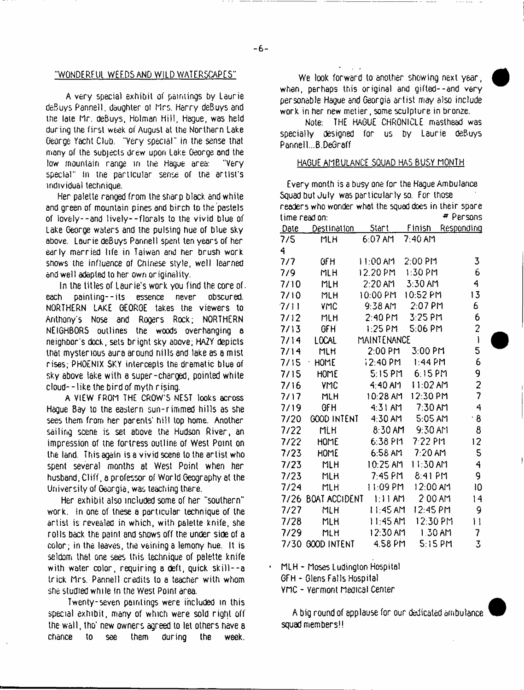$-6-$ 

## "WONDERFUL WEEDS AND WILD WATERSCAPES"

A very special exhibit of paintings by Laurie deBuys Pannell. daughter ot Mrs. Harry deBuys and the late Hr. deBuys, Holman Hill, Hague, was held during the first week of August at the Northern Lake George Yacht Club. "Very special" in the sense that many of the subjects drew upon Lake George and the low mountain range in trie Hague area: "Very special" In tne particular sense of the artist's individual technique.

Her palette ranged from the sharp black and white and green of mountain pines and birch to the pastels of lovely--and lively— florals to the vivid blue of Lake George waters and the pulsing hue of blue sky above. Laurie deBuys Pannell spent ten years of her early married life in Taiwan and her brush work shows the influence of Chinese style, well learned and well adapted to her own originality.

In the titles of Laurie's work you find the core of. each painting--its essence never obscured. NORTHERN LAKE GEORGE takes the viewers to Anthony's Nose and Rogers Rock; NORTHERN NEIGHBORS outlines the woods overhanging a neighbor's dock, sets brignt sky above; HAZY depicts that mysterious aura around hills and lake as a mist rises; PHOENIX SKY intercepts the dramatic blue of sky above lake with a super-charged, pointed white cloud--like the bird of myth rising.

A VIEW FROM THE CROW'S NEST looks across Hague Bay to the eastern sun-rimmed hills as she sees them from her parents' hill top home. Another sailing scene is set above the Hudson River, an impression of the fortress outline of West Point on the land. This again is a vivid scene to the artist who spent several months at West Point when her husband, Cliff, a professor of World Geography at the University of Georgia, was teaching there.

Her exhibit also included some of her "southern" work. In one of these a particular technique of the artist is revealed in which, with palette knife, she rolls back the paint and shows off the under side of a color; in the leaves, the veining a lemony hue. It is seldom that one sees this technique of palette knife with water color, requiring a deft, quick skill--a trick Mrs. Pannell credits to a teacher with whom she studied while in the West Point area.

Twenty-seven paintings were included in this special exhibit, many of which were sold right off the wall, tho' new owners agreed to let others have a chance to see them during the week.

We look forward to another showing next year, when, perhaps this original and gifted--and very personable Hague and Georgia artist may also include work in her new metier, some sculpture in bronze.

Note; THE HAGUE CHRONICLE masthead was specially designed for us by Laurie deBuys Pannell...B.DeGraff

# HAGUE AMBULANCE SQUAD HAS BUSY MONTH

Every month is a busy one for the Hague Ambulance Squad but July was particularly so. For those readers who wonder whet the squad does in their spare time read on:  $\blacksquare$  Persons Date Destination Start Finish Responding 7/5 *A* MLH 6:07 AM 7:40 AM 7/7 GFH 11:00 AM 2:00 PM 3 7/9 MLH 12.20PM 1:30 PM b 7/10 MLH 2:20 AM 3:30 AM 4 7/IO MLH 10:00 PM 0:52 PM 13 7/11 VMC 9:38 AM 2:07 PM 6 7/12 MLH 2:40 PM 3:25 PM 6<br>7/13 GFH 1:25 PM 5:06 PM 2 7/13 GFH 1:25 PM 5:06 PM 2 7 /M LOCAL MAINTENANCE 1 7/14 MLH 2:00 PM 3:00 PM 7/15 • HOME 12:40 PM 1:44 PM 6 7/15 HOME 5:15PM 6:15PM 9 7/16 VMC 4:40 AM 11:02 AM 2 7/17 MLH 10:28 AM 12:30 PM 7 7/19 GFH 4:31 AM 7:30 AM 4 7/20 GOOD INTENT 4:30 AM 5:05 AM •8 7/22 MLH 8:30 AM 9:30 AM 8 7/22 HOME 6:38 PM 7 22 PM 12 7/23 HOME 6:56 AM 7:20 AM 5 7/23 MLH 10:25 AM 11:30 AM 4 7/23 MLH 7:45 PM 8:41 PM 9 7/24 MLH 1 1:09 PM 12:00 AM 10 7/26 BOAT ACCIDENT 1:11AM 2 00 AM 14 7/27 MLH 1 1:45 AM 12:45 PM 9 7/28 MLH 1 1:45 AM 12:30 PM 1 1 7/29 MLH 12:30 AM 1 30 AM 7 7/30 GOOD INTENT 4.58 PM 5:15 PM 3

• MLH - Moses Ludington Hospital

GFH - Glens Falls Hospital

YMC - Vermont Medical Center

A big round of applause for our dedicated ambulance squad members!!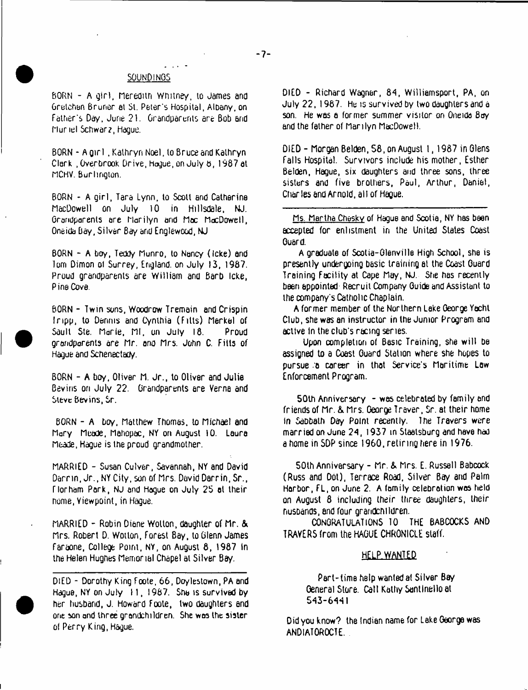#### SOUND!NOS

BORN - A girl, Meredith Whitney, to James and Gretchan Bruner at St. Peter's Hospital, Albany, on Father's Day, June 21. Grandparents are Bob and Muriel Schwarz, Hague.

BORN - A girl . Kathryn Noel, to Bruce and Kathryn Clark , Overbrook Drive, Hogue, on July 6, 1987 at MCHV. Burlington.

BORN - A girl, Tara Lynn, to Scott and Catherine MacDowell on July 10 in Hillsdale, NJ. Grandparents are Marilyn and Mac MacDowell, Oneida Bay, Silver Bay and Englewood, NJ

BORN - A boy, Teddy Munro, lo Nancy (Icke) and Tom Dimon of Surrey, England, on July 13, 1987. Proud grandparents are William ana Barb Icke, Pine Cove.

BORN - Twin suns, Woodrow Tremain and Crispin Iripp, to Dennis and Cynthia (Fitts) Merkel of Saull Ste. Marie, Ml, on July 18. Proud grandparents are Mr. and Mrs. John C. Fills of Hague and Schenectady.

BORN - A boy, Oliver M. Jr., to Oliver and Julie Bevins on July 22. Grandparents are Verna and Steve Bevins, Sr.

BORN - A boy, Matthew Thomas, lo Michael and Mary Meade, Mahopac, NY on August 10. Laura Meade, Hague is the proud grandmother.

MARRIED - Susan Culver, Savannah, NY and David Darrin, Jr., NY City, son of Mrs. David Darrin, Sr., Florham Pork, NJ and Hogue on July 25 at their home, Viewpoint, in Hague.

MARRIED - Robin Diane Wolton, daughter of Mr. & Mrs. Robert D. Wotlon, forest Bay, to Glenn James faraone, College Point, NY, on August 8, 1987 in the Helen Hughes Memorial Chapel at Silver Bay.

DIED - Dorothy King Foote, 66, Doylestown, PA and Hague, NY on July 11,1987. She is survived by her husband, J. Howard Foote, two daughters and one son and three grandchildren. She was the sister of Perry King, Hague.

DIED - Richard Wagner, 84, Williamsport, PA, on July 22, 1967. He is survived by two daughters and a son. He was a former summer visitor on Oneida Bay and the father of Marilyn MacDowell.

DIED- Morgan Belden, 58, on August I, 1987 in Glens Falls Hospital. Survivors include his mother, Esther Belden, Hague, six daughters and three sons, three sisters and five brothers, Paul, Arthur, Daniel, Char les and Arnold, all of HaQue.

Ms. Martha Chesky of Hague and Scotia, NY has been accepted for enlistment in the United States Coast Guard.

A graduate of Scotia-Glenville High School, she is presently undergoing basic training at the Coast Guard Training Facility at Cape May, NJ. She has recently been appointed Recruit Company Guide and Assistant to the company's Catholic Chaplain.

A former member of the Northern Lake George Yacht Club, she was an instructor in the Junior Program and active in the club's racing series.

Upon completion of Basic Training, she will be assigned to a Coast Guard Station where she hopes to pursue .a career in that Service's Maritime Law Enforcement Program.

50th Anniversary - was celebrated by family and friends of Mr. &. Mrs. George Traver, Sr. at their home In Sabbath Day Point recently. The Travers were married on June 24, 1937 in Staatsburg and have had a home in SDP since 1960, retiring here in 1976.

50lh Anniversary - Mr. & Mrs. E. Russell Babcock (Russ and Dot), Terrace Road, Silver Bay and Palm Harbor, FL, on June 2. A family celebration was held on August 8 including their three daughters, their nusDands, end four grandchildren.

CONGRATULATIONS 10 THE BABCOCKS AND TRAVERS from the HAGUE CHRONICLE staff.

## HELP WANTED

Part-time help wanted at Silver Bay General Store. Call Kathy Santtnello at 543-6441

Did you know? the Indian name for Lake George was ANDIATOROCTE.